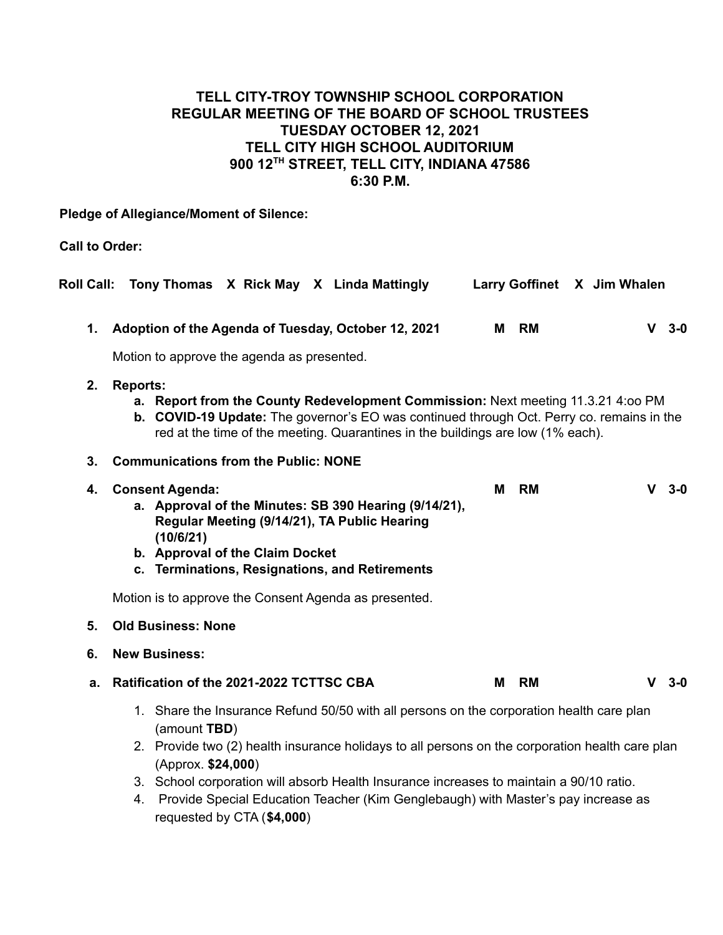# **TELL CITY-TROY TOWNSHIP SCHOOL CORPORATION REGULAR MEETING OF THE BOARD OF SCHOOL TRUSTEES TUESDAY OCTOBER 12, 2021 TELL CITY HIGH SCHOOL AUDITORIUM 900 12TH STREET, TELL CITY, INDIANA 47586 6:30 P.M.**

**Pledge of Allegiance/Moment of Silence:**

**Call to Order:**

|                                                                                                                                                                                                                                                                                                                                                                                                                                                       | Roll Call: Tony Thomas X Rick May X Linda Mattingly                                                                                                                                                                                                                                 |   | Larry Goffinet X Jim Whalen |  |  |  |         |  |
|-------------------------------------------------------------------------------------------------------------------------------------------------------------------------------------------------------------------------------------------------------------------------------------------------------------------------------------------------------------------------------------------------------------------------------------------------------|-------------------------------------------------------------------------------------------------------------------------------------------------------------------------------------------------------------------------------------------------------------------------------------|---|-----------------------------|--|--|--|---------|--|
| 1.                                                                                                                                                                                                                                                                                                                                                                                                                                                    | Adoption of the Agenda of Tuesday, October 12, 2021                                                                                                                                                                                                                                 |   | M RM                        |  |  |  | $V$ 3-0 |  |
|                                                                                                                                                                                                                                                                                                                                                                                                                                                       | Motion to approve the agenda as presented.                                                                                                                                                                                                                                          |   |                             |  |  |  |         |  |
| 2.                                                                                                                                                                                                                                                                                                                                                                                                                                                    | <b>Reports:</b><br>a. Report from the County Redevelopment Commission: Next meeting 11.3.21 4:00 PM<br>b. COVID-19 Update: The governor's EO was continued through Oct. Perry co. remains in the<br>red at the time of the meeting. Quarantines in the buildings are low (1% each). |   |                             |  |  |  |         |  |
| 3.                                                                                                                                                                                                                                                                                                                                                                                                                                                    | <b>Communications from the Public: NONE</b>                                                                                                                                                                                                                                         |   |                             |  |  |  |         |  |
| 4.                                                                                                                                                                                                                                                                                                                                                                                                                                                    | <b>Consent Agenda:</b><br>a. Approval of the Minutes: SB 390 Hearing (9/14/21),<br>Regular Meeting (9/14/21), TA Public Hearing<br>(10/6/21)<br>b. Approval of the Claim Docket<br>c. Terminations, Resignations, and Retirements                                                   | М | <b>RM</b>                   |  |  |  | $V3-0$  |  |
|                                                                                                                                                                                                                                                                                                                                                                                                                                                       | Motion is to approve the Consent Agenda as presented.                                                                                                                                                                                                                               |   |                             |  |  |  |         |  |
| 5.                                                                                                                                                                                                                                                                                                                                                                                                                                                    | <b>Old Business: None</b>                                                                                                                                                                                                                                                           |   |                             |  |  |  |         |  |
| 6.                                                                                                                                                                                                                                                                                                                                                                                                                                                    | <b>New Business:</b>                                                                                                                                                                                                                                                                |   |                             |  |  |  |         |  |
| a.                                                                                                                                                                                                                                                                                                                                                                                                                                                    | Ratification of the 2021-2022 TCTTSC CBA                                                                                                                                                                                                                                            | М | <b>RM</b>                   |  |  |  | $V$ 3-0 |  |
| 1. Share the Insurance Refund 50/50 with all persons on the corporation health care plan<br>(amount TBD)<br>2. Provide two (2) health insurance holidays to all persons on the corporation health care plan<br>(Approx. \$24,000)<br>3. School corporation will absorb Health Insurance increases to maintain a 90/10 ratio.<br>Provide Special Education Teacher (Kim Genglebaugh) with Master's pay increase as<br>4.<br>requested by CTA (\$4,000) |                                                                                                                                                                                                                                                                                     |   |                             |  |  |  |         |  |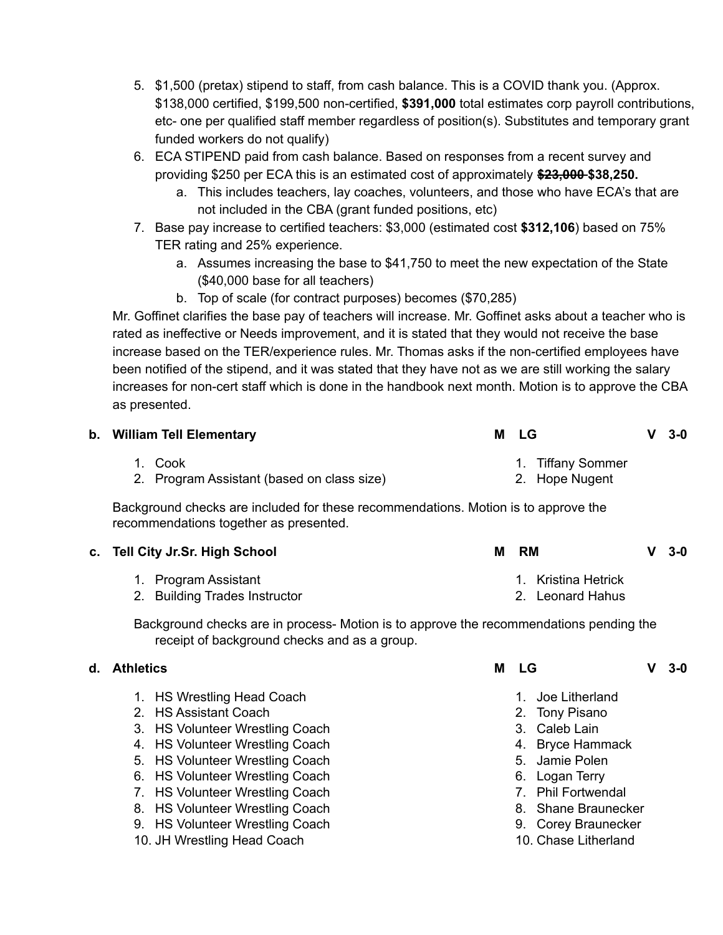- 5. \$1,500 (pretax) stipend to staff, from cash balance. This is a COVID thank you. (Approx. \$138,000 certified, \$199,500 non-certified, **\$391,000** total estimates corp payroll contributions, etc- one per qualified staff member regardless of position(s). Substitutes and temporary grant funded workers do not qualify)
- 6. ECA STIPEND paid from cash balance. Based on responses from a recent survey and providing \$250 per ECA this is an estimated cost of approximately **\$23,000 \$38,250.**
	- a. This includes teachers, lay coaches, volunteers, and those who have ECA's that are not included in the CBA (grant funded positions, etc)
- 7. Base pay increase to certified teachers: \$3,000 (estimated cost **\$312,106**) based on 75% TER rating and 25% experience.
	- a. Assumes increasing the base to \$41,750 to meet the new expectation of the State (\$40,000 base for all teachers)
	- b. Top of scale (for contract purposes) becomes (\$70,285)

Mr. Goffinet clarifies the base pay of teachers will increase. Mr. Goffinet asks about a teacher who is rated as ineffective or Needs improvement, and it is stated that they would not receive the base increase based on the TER/experience rules. Mr. Thomas asks if the non-certified employees have been notified of the stipend, and it was stated that they have not as we are still working the salary increases for non-cert staff which is done in the handbook next month. Motion is to approve the CBA as presented.

| b. William Tell Elementary                            | M LG                                | $V3-0$ |
|-------------------------------------------------------|-------------------------------------|--------|
| 1. Cook<br>2. Program Assistant (based on class size) | 1. Tiffany Sommer<br>2. Hope Nugent |        |

Background checks are included for these recommendations. Motion is to approve the recommendations together as presented.

| c. Tell City Jr.Sr. High School | <b>RM</b><br>$V3-0$<br>м |
|---------------------------------|--------------------------|
| 1. Program Assistant            | 1. Kristina Hetrick      |
| 2. Building Trades Instructor   | 2. Leonard Hahus         |

Background checks are in process- Motion is to approve the recommendations pending the receipt of background checks and as a group.

## **d. Athletics M LG V 3-0**

- 1. HS Wrestling Head Coach
- 2. HS Assistant Coach
- 3. HS Volunteer Wrestling Coach
- 4. HS Volunteer Wrestling Coach
- 5. HS Volunteer Wrestling Coach
- 6. HS Volunteer Wrestling Coach
- 7. HS Volunteer Wrestling Coach
- 8. HS Volunteer Wrestling Coach
- 9. HS Volunteer Wrestling Coach
- 10. JH Wrestling Head Coach

| 1 LG |  | $V3-0$ |
|------|--|--------|
|------|--|--------|

- 1. Joe Litherland
- 2. Tony Pisano
- 3. Caleb Lain
- 4. Bryce Hammack
- 5. Jamie Polen
- 6. Logan Terry
- 7. Phil Fortwendal
- 8. Shane Braunecker
- 9. Corey Braunecker
- 10. Chase Litherland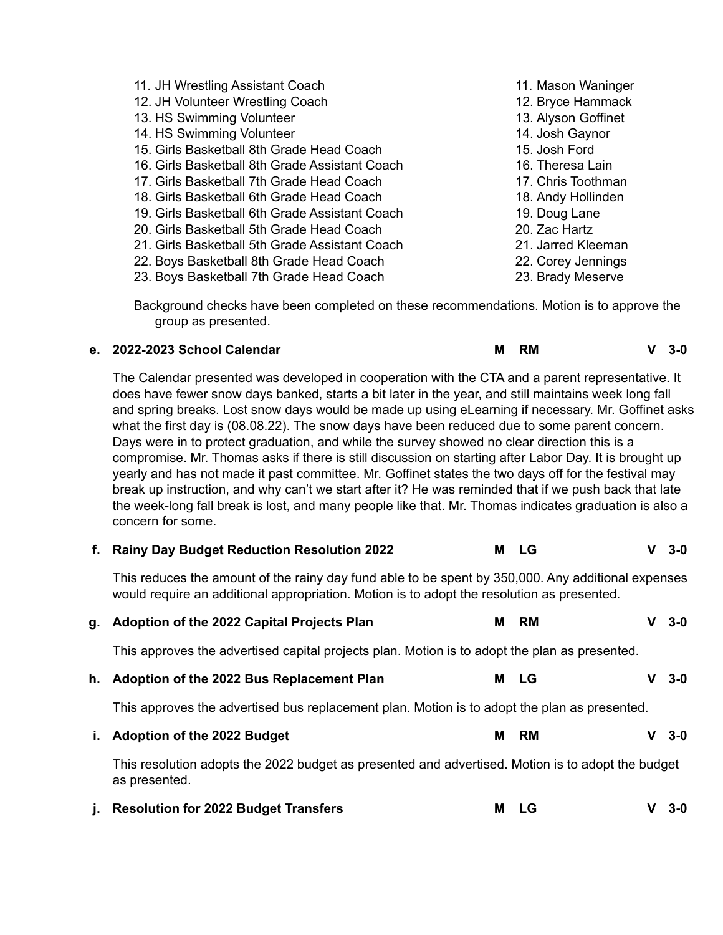11. JH Wrestling Assistant Coach 12. JH Volunteer Wrestling Coach 13. HS Swimming Volunteer 14. HS Swimming Volunteer 15. Girls Basketball 8th Grade Head Coach 16. Girls Basketball 8th Grade Assistant Coach 17. Girls Basketball 7th Grade Head Coach 18. Girls Basketball 6th Grade Head Coach 19. Girls Basketball 6th Grade Assistant Coach 20. Girls Basketball 5th Grade Head Coach 21. Girls Basketball 5th Grade Assistant Coach 22. Boys Basketball 8th Grade Head Coach 23. Boys Basketball 7th Grade Head Coach 11. Mason Waninger 12. Bryce Hammack 13. Alyson Goffinet 14. Josh Gaynor 15. Josh Ford 16. Theresa Lain 17. Chris Toothman 18. Andy Hollinden 19. Doug Lane 20. Zac Hartz 21. Jarred Kleeman 22. Corey Jennings 23. Brady Meserve

Background checks have been completed on these recommendations. Motion is to approve the group as presented.

#### **e. 2022-2023 School Calendar M RM V 3-0**

The Calendar presented was developed in cooperation with the CTA and a parent representative. It does have fewer snow days banked, starts a bit later in the year, and still maintains week long fall and spring breaks. Lost snow days would be made up using eLearning if necessary. Mr. Goffinet asks what the first day is (08.08.22). The snow days have been reduced due to some parent concern. Days were in to protect graduation, and while the survey showed no clear direction this is a compromise. Mr. Thomas asks if there is still discussion on starting after Labor Day. It is brought up yearly and has not made it past committee. Mr. Goffinet states the two days off for the festival may break up instruction, and why can't we start after it? He was reminded that if we push back that late the week-long fall break is lost, and many people like that. Mr. Thomas indicates graduation is also a concern for some.

|  |  | f. Rainy Day Budget Reduction Resolution 2022 |  | M LG |  | $V3-0$ |
|--|--|-----------------------------------------------|--|------|--|--------|
|--|--|-----------------------------------------------|--|------|--|--------|

This reduces the amount of the rainy day fund able to be spent by 350,000. Any additional expenses would require an additional appropriation. Motion is to adopt the resolution as presented.

| q. | Adoption of the 2022 Capital Projects Plan                                                                         | M | <b>RM</b> |  | $3-0$ |  |  |
|----|--------------------------------------------------------------------------------------------------------------------|---|-----------|--|-------|--|--|
|    | This approves the advertised capital projects plan. Motion is to adopt the plan as presented.                      |   |           |  |       |  |  |
| h. | Adoption of the 2022 Bus Replacement Plan                                                                          | м | - LG      |  | - 3-0 |  |  |
|    | This approves the advertised bus replacement plan. Motion is to adopt the plan as presented.                       |   |           |  |       |  |  |
| i. | <b>Adoption of the 2022 Budget</b>                                                                                 | м | RM        |  | - 3-0 |  |  |
|    | This resolution adopts the 2022 budget as presented and advertised. Motion is to adopt the budget<br>as presented. |   |           |  |       |  |  |

**j. Resolution for 2022 Budget Transfers M LG V 3-0**